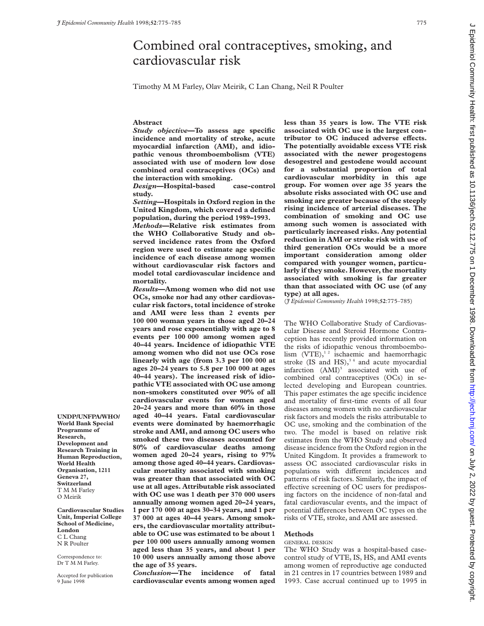# Combined oral contraceptives, smoking, and cardiovascular risk

Timothy M M Farley, Olav Meirik, C Lan Chang, Neil R Poulter

## **Abstract**

*Study objective***—To assess age specific incidence and mortality of stroke, acute myocardial infarction (AMI), and idiopathic venous thromboembolism (VTE) associated with use of modern low dose combined oral contraceptives (OCs) and the interaction with smoking.**

*Design***—Hospital-based case-control study.**

*Setting***—Hospitals in Oxford region in the United Kingdom, which covered a defined population, during the period 1989–1993.**

*Methods***—Relative risk estimates from the WHO Collaborative Study and observed incidence rates from the Oxford region were used to estimate age specific incidence of each disease among women without cardiovascular risk factors and model total cardiovascular incidence and mortality.**

*Results***—Among women who did not use OCs, smoke nor had any other cardiovascular risk factors, total incidence of stroke and AMI were less than 2 events per 100 000 woman years in those aged 20–24 years and rose exponentially with age to 8 events per 100 000 among women aged 40–44 years. Incidence of idiopathic VTE among women who did not use OCs rose linearly with age (from 3.3 per 100 000 at ages 20–24 years to 5.8 per 100 000 at ages 40–44 years). The increased risk of idiopathic VTE associated with OC use among non-smokers constituted over 90% of all cardiovascular events for women aged 20–24 years and more than 60% in those aged 40–44 years. Fatal cardiovascular events were dominated by haemorrhagic stroke and AMI, and among OC users who smoked these two diseases accounted for 80% of cardiovascular deaths among women aged 20–24 years, rising to 97% among those aged 40–44 years. Cardiovascular mortality associated with smoking was greater than that associated with OC use at all ages. Attributable risk associated with OC use was 1 death per 370 000 users annually among women aged 20–24 years, 1 per 170 000 at ages 30–34 years, and 1 per 37 000 at ages 40–44 years. Among smokers, the cardiovascular mortality attributable to OC use was estimated to be about 1 per 100 000 users annually among women aged less than 35 years, and about 1 per 10 000 users annually among those above the age of 35 years.**

*Conclusion***—The incidence of fatal cardiovascular events among women aged** **less than 35 years is low. The VTE risk associated with OC use is the largest con**tributor to OC induced adverse effects. **The potentially avoidable excess VTE risk associated with the newer progestogens desogestrel and gestodene would account for a substantial proportion of total cardiovascular morbidity in this age group. For women over age 35 years the absolute risks associated with OC use and smoking are greater because of the steeply rising incidence of arterial diseases. The combination of smoking and OC use among such women is associated with particularly increased risks. Any potential reduction in AMI or stroke risk with use of third generation OCs would be a more important consideration among older compared with younger women, particularly if they smoke. However, the mortality associated with smoking is far greater than that associated with OC use (of any type) at all ages.**

(*J Epidemiol Community Health* 1998;**52**:775–785)

The WHO Collaborative Study of Cardiovascular Disease and Steroid Hormone Contraception has recently provided information on the risks of idiopathic venous thromboembolism  $(VTE)$ ,<sup>12</sup> ischaemic and haemorrhagic stroke (IS and HS), $34$  and acute myocardial infarction (AMI)<sup>5</sup> associated with use of combined oral contraceptives (OCs) in selected developing and European countries. This paper estimates the age specific incidence and mortality of first-time events of all four diseases among women with no cardiovascular risk factors and models the risks attributable to OC use, smoking and the combination of the two. The model is based on relative risk estimates from the WHO Study and observed disease incidence from the Oxford region in the United Kingdom. It provides a framework to assess OC associated cardiovascular risks in populations with different incidences and patterns of risk factors. Similarly, the impact of effective screening of OC users for predisposing factors on the incidence of non-fatal and fatal cardiovascular events, and the impact of potential differences between OC types on the risks of VTE, stroke, and AMI are assessed.

#### **Methods**

#### GENERAL DESIGN

The WHO Study was a hospital-based casecontrol study of VTE, IS, HS, and AMI events among women of reproductive age conducted in 21 centres in 17 countries between 1989 and 1993. Case accrual continued up to 1995 in

**UNDP/UNFPA/WHO/ World Bank Special Programme of Research, Development and Research Training in Human Reproduction, World Health Organisation, 1211 Geneva 27, Switzerland** T M M Farley O Meirik

**Cardiovascular Studies Unit, Imperial College School of Medicine, London** C L Chang N R Poulter

Correspondence to: Dr T M M Farley.

Accepted for publication 9 June 1998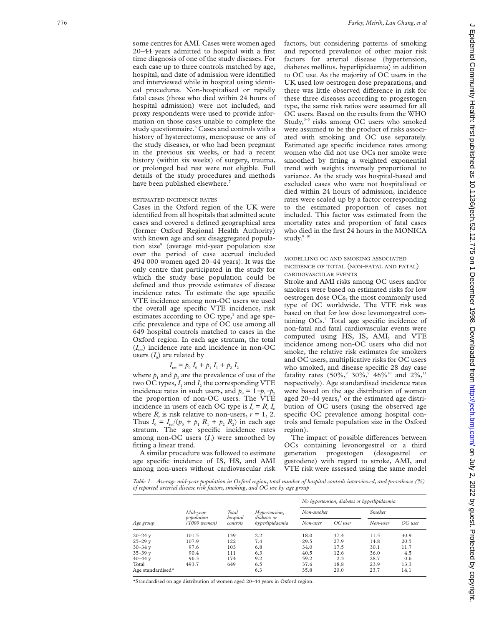some centres for AMI. Cases were women aged 20–44 years admitted to hospital with a first time diagnosis of one of the study diseases. For each case up to three controls matched by age, hospital, and date of admission were identified and interviewed while in hospital using identical procedures. Non-hospitalised or rapidly fatal cases (those who died within 24 hours of hospital admission) were not included, and proxy respondents were used to provide information on those cases unable to complete the study questionnaire. <sup>6</sup> Cases and controls with a history of hysterectomy, menopause or any of the study diseases, or who had been pregnant in the previous six weeks, or had a recent history (within six weeks) of surgery, trauma, or prolonged bed rest were not eligible. Full details of the study procedures and methods have been published elsewhere.<sup>7</sup>

#### ESTIMATED INCIDENCE RATES

Cases in the Oxford region of the UK were identified from all hospitals that admitted acute cases and covered a defined geographical area (former Oxford Regional Health Authority) with known age and sex disaggregated population size<sup>8</sup> (average mid-year population size over the period of case accrual included 494 000 women aged 20–44 years). It was the only centre that participated in the study for which the study base population could be defined and thus provide estimates of disease incidence rates. To estimate the age specific VTE incidence among non-OC users we used the overall age specific VTE incidence, risk estimates according to OC type,<sup>2</sup> and age specific prevalence and type of OC use among all 649 hospital controls matched to cases in the Oxford region. In each age stratum, the total  $(I_{\text{tot}})$  incidence rate and incidence in non-OC users  $(I_0)$  are related by

# $I_{\text{tot}} = p_0 I_0 + p_1 I_1 + p_2 I_2$

where  $p_1$  and  $p_2$  are the prevalence of use of the two OC types,  $I_1$  and  $I_2$  the corresponding VTE incidence rates in such users, and  $p_0 = 1-p_1-p_2$ the proportion of non-OC users. The VTE incidence in users of each OC type is  $I_r = R_r I_0$ where  $R_r$  is risk relative to non-users,  $r = 1, 2$ . Thus  $I_0 = I_{\text{tot}}/(p_0 + p_1 R_1 + p_2 R_2)$  in each age stratum. The age specific incidence rates among non-OC users  $(I_0)$  were smoothed by fitting a linear trend.

A similar procedure was followed to estimate age specific incidence of IS, HS, and AMI among non-users without cardiovascular risk factors, but considering patterns of smoking and reported prevalence of other major risk factors for arterial disease (hypertension, diabetes mellitus, hyperlipidaemia) in addition to OC use. As the majority of OC users in the UK used low oestrogen dose preparations, and there was little observed difference in risk for these three diseases according to progestogen type, the same risk ratios were assumed for all OC users. Based on the results from the WHO Study,<sup>3-5</sup> risks among OC users who smoked were assumed to be the product of risks associated with smoking and OC use separately. Estimated age specific incidence rates among women who did not use OCs nor smoke were smoothed by fitting a weighted exponential trend with weights inversely proportional to variance. As the study was hospital-based and excluded cases who were not hospitalised or died within 24 hours of admission, incidence rates were scaled up by a factor corresponding to the estimated proportion of cases not included. This factor was estimated from the mortality rates and proportion of fatal cases who died in the first 24 hours in the MONICA study. $9<sup>9-1</sup>$ 

## MODELLING OC AND SMOKING ASSOCIATED INCIDENCE OF TOTAL (NON -FATAL AND FATAL) CARDIOVASCULAR EVENTS

Stroke and AMI risks among OC users and/or smokers were based on estimated risks for low oestrogen dose OCs, the most commonly used type of OC worldwide. The VTE risk was based on that for low dose levonorgestrel containing OCs.<sup>2</sup> Total age specific incidence of non-fatal and fatal cardiovascular events were computed using HS, IS, AMI, and VTE incidence among non-OC users who did not smoke, the relative risk estimates for smokers and OC users, multiplicative risks for OC users who smoked, and disease specific 28 day case fatality rates  $(50\%,^9 30\%,^9 46\%^{10}$  and  $2\%,^{11}$ respectively). Age standardised incidence rates were based on the age distribution of women aged 20–44 years, <sup>8</sup> or the estimated age distribution of OC users (using the observed age specific OC prevalence among hospital controls and female population size in the Oxford region).

The impact of possible differences between OCs containing levonorgestrel or a third generation progestogen (desogestrel or gestodene) with regard to stroke, AMI, and VTE risk were assessed using the same model

*Table 1 Average mid-year population in Oxford region, total number of hospital controls interviewed, and prevalence (%) of reported arterial disease risk factors, smoking, and OC use by age group*

|                               |                              |                               |                                                 |            |           | No hypertension, diabetes or hyperlipidaemia |         |  |  |
|-------------------------------|------------------------------|-------------------------------|-------------------------------------------------|------------|-----------|----------------------------------------------|---------|--|--|
| Age group                     | Mid-year                     | Total<br>hospital<br>controls | Hypertension,<br>diabetes or<br>hyperlipidaemia | Non-smoker |           | <b>Smoker</b>                                |         |  |  |
|                               | population<br>$(1000$ women) |                               |                                                 | Non-user   | $OC$ user | Non-user                                     | OC user |  |  |
| $20 - 24$ y                   | 101.5                        | 139                           | 2.2                                             | 18.0       | 37.4      | 11.5                                         | 30.9    |  |  |
| $25 - 29$ y                   | 107.9                        | 122                           | 7.4                                             | 29.5       | 27.9      | 14.8                                         | 20.5    |  |  |
| $30 - 34$ y                   | 97.6                         | 103                           | 6.8                                             | 34.0       | 17.5      | 30.1                                         | 11.7    |  |  |
| $35 - 39$ y                   | 90.4                         | 111                           | 6.3                                             | 40.5       | 12.6      | 36.0                                         | 4.5     |  |  |
| $40 - 44$ y                   | 96.3                         | 174                           | 9.2                                             | 59.2       | 2.3       | 28.7                                         | 0.6     |  |  |
| Total                         | 493.7                        | 649                           | 6.5                                             | 37.6       | 18.8      | 23.9                                         | 13.3    |  |  |
| Age standardised <sup>*</sup> |                              |                               | 6.3                                             | 35.8       | 20.0      | 23.7                                         | 14.1    |  |  |

\*Standardised on age distribution of women aged 20–44 years in Oxford region.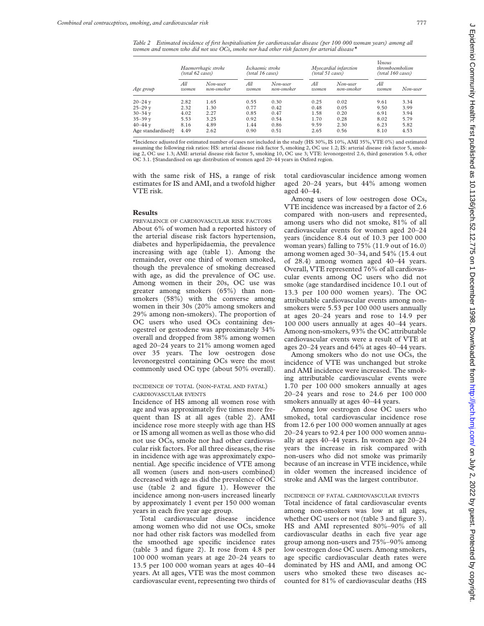*Table 2 Estimated incidence of first hospitalisation for cardiovascular disease (per 100 000 woman years) among all women and women who did not use OCs, smoke nor had other risk factors for arterial disease\**

| Age group                     | Haemorrhagic stroke<br>(total 62 cases) |                        | Ischaemic stroke<br>(total 16 cases) |                        | Myocardial infarction<br>(total 51 cases) |                        | Venous<br><i>thromboembolism</i><br>(total 160 cases) |          |
|-------------------------------|-----------------------------------------|------------------------|--------------------------------------|------------------------|-------------------------------------------|------------------------|-------------------------------------------------------|----------|
|                               | All<br>women                            | Non-user<br>non-smoker | All<br>women                         | Non-user<br>non-smoker | All<br>women                              | Non-user<br>non-smoker | Аll<br>women                                          | Non-user |
| $20 - 24y$                    | 2.82                                    | 1.65                   | 0.55                                 | 0.30                   | 0.25                                      | 0.02                   | 9.61                                                  | 3.34     |
| $25 - 29y$                    | 2.32                                    | 1.30                   | 0.77                                 | 0.42                   | 0.48                                      | 0.05                   | 9.50                                                  | 3.99     |
| $30 - 34$ y                   | 4.02                                    | 2.27                   | 0.85                                 | 0.47                   | 1.58                                      | 0.20                   | 6.91                                                  | 3.94     |
| $35 - 39$ y                   | 5.53                                    | 3.25                   | 0.92                                 | 0.54                   | 1.70                                      | 0.28                   | 8.02                                                  | 5.79     |
| $40 - 44$ v                   | 8.16                                    | 4.89                   | 1.44                                 | 0.86                   | 9.59                                      | 2.30                   | 6.23                                                  | 5.82     |
| Age standardised <sup>+</sup> | 4.49                                    | 2.62                   | 0.90                                 | 0.51                   | 2.65                                      | 0.56                   | 8.10                                                  | 4.53     |

\*Incidence adjusted for estimated number of cases not included in the study (HS 30%, IS 10%, AMI 35%, VTE 0%) and estimated assuming the following risk ratios: HS: arterial disease risk factor 5, smoking 2, OC use 1.2; IS: arterial disease risk factor 5, smoking 2, OC use 1.3; AMI: arterial disease risk factor 5, smoking 10, OC use 3; VTE: levonorgestrel 2.6, third generation 5.4, other OC 3.1. †Standardised on age distribution of women aged 20–44 years in Oxford region.

with the same risk of HS, a range of risk estimates for IS and AMI, and a twofold higher VTE risk.

#### **Results**

PREVALENCE OF CARDIOVASCULAR RISK FACTORS About 6% of women had a reported history of the arterial disease risk factors hypertension, diabetes and hyperlipidaemia, the prevalence increasing with age (table 1). Among the remainder, over one third of women smoked, though the prevalence of smoking decreased with age, as did the prevalence of OC use. Among women in their 20s, OC use was greater among smokers (65%) than nonsmokers (58%) with the converse among women in their 30s (20% among smokers and 29% among non-smokers). The proportion of OC users who used OCs containing desogestrel or gestodene was approximately 34% overall and dropped from 38% among women aged 20–24 years to 21% among women aged over 35 years. The low oestrogen dose levonorgestrel containing OCs were the most commonly used OC type (about 50% overall).

## INCIDENCE OF TOTAL (NON-FATAL AND FATAL) CARDIOVASCULAR EVENTS

Incidence of HS among all women rose with age and was approximately five times more frequent than IS at all ages (table 2). AMI incidence rose more steeply with age than HS or IS among all women as well as those who did not use OCs, smoke nor had other cardiovascular risk factors. For all three diseases, the rise in incidence with age was approximately exponential. Age specific incidence of VTE among all women (users and non-users combined) decreased with age as did the prevalence of OC use (table 2 and figure 1). However the incidence among non-users increased linearly by approximately 1 event per 150 000 woman years in each five year age group.

Total cardiovascular disease incidence among women who did not use OCs, smoke nor had other risk factors was modelled from the smoothed age specific incidence rates (table 3 and figure 2). It rose from 4.8 per 100 000 woman years at age 20–24 years to 13.5 per 100 000 woman years at ages 40–44 years. At all ages, VTE was the most common cardiovascular event, representing two thirds of total cardiovascular incidence among women aged 20–24 years, but 44% among women aged 40–44.

Among users of low oestrogen dose OCs, VTE incidence was increased by a factor of 2.6 compared with non-users and represented, among users who did not smoke, 81% of all cardiovascular events for women aged 20–24 years (incidence 8.4 out of 10.3 per 100 000 woman years) falling to 75% (11.9 out of 16.0) among women aged 30–34, and 54% (15.4 out of 28.4) among women aged 40–44 years. Overall, VTE represented 76% of all cardiovascular events among OC users who did not smoke (age standardised incidence 10.1 out of 13.3 per 100 000 women years). The OC attributable cardiovascular events among nonsmokers were 5.53 per 100 000 users annually at ages 20–24 years and rose to 14.9 per 100 000 users annually at ages 40–44 years. Among non-smokers, 93% the OC attributable cardiovascular events were a result of VTE at ages 20–24 years and 64% at ages 40–44 years.

Among smokers who do not use OCs, the incidence of VTE was unchanged but stroke and AMI incidence were increased. The smoking attributable cardiovascular events were 1.70 per 100 000 smokers annually at ages 20–24 years and rose to 24.6 per 100 000 smokers annually at ages 40–44 years.

Among low oestrogen dose OC users who smoked, total cardiovascular incidence rose from 12.6 per 100 000 women annually at ages 20–24 years to 92.4 per 100 000 women annually at ages 40–44 years. In women age 20–24 years the increase in risk compared with non-users who did not smoke was primarily because of an increase in VTE incidence, while in older women the increased incidence of stroke and AMI was the largest contributor.

# INCIDENCE OF FATAL CARDIOVASCULAR EVENTS

Total incidence of fatal cardiovascular events among non-smokers was low at all ages, whether OC users or not (table 3 and figure 3). HS and AMI represented 80%–90% of all cardiovascular deaths in each five year age group among non-users and 75%–90% among low oestrogen dose OC users. Among smokers, age specific cardiovascular death rates were dominated by HS and AMI, and among OC users who smoked these two diseases accounted for 81% of cardiovascular deaths (HS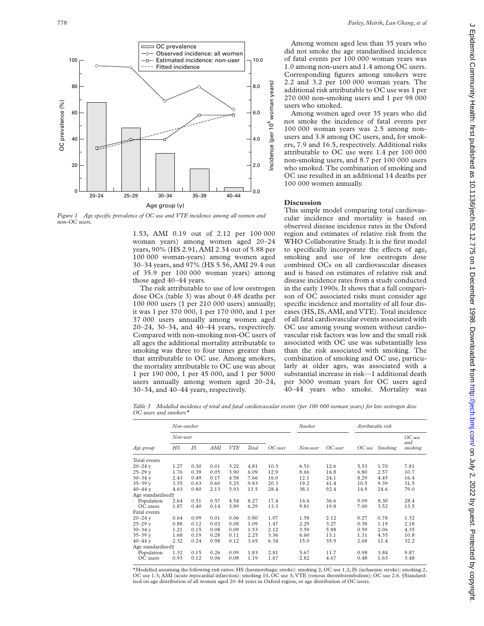

*Figure 1 Age specific prevalence of OC use and VTE incidence among all women and non-OC users.*

1.53, AMI 0.19 out of 2.12 per 100 000 woman years) among women aged 20–24 years, 90% (HS 2.91, AMI 2.34 out of 5.88 per 100 000 woman-years) among women aged 30–34 years, and 97% (HS 5.56, AMI 29.4 out of 35.9 per 100 000 woman years) among those aged 40–44 years.

The risk attributable to use of low oestrogen dose OCs (table 3) was about 0.48 deaths per 100 000 users (1 per 210 000 users) annually; it was 1 per 370 000, 1 per 170 000, and 1 per 37 000 users annually among women aged 20–24, 30–34, and 40–44 years, respectively. Compared with non-smoking non-OC users of all ages the additional mortality attributable to smoking was three to four times greater than that attributable to OC use. Among smokers, the mortality attributable to OC use was about 1 per 190 000, 1 per 45 000, and 1 per 5000 users annually among women aged 20–24, 30–34, and 40–44 years, respectively.

Among women aged less than 35 years who did not smoke the age standardised incidence of fatal events per 100 000 woman years was 1.0 among non-users and 1.4 among OC users. Corresponding figures among smokers were 2.2 and 3.2 per 100 000 woman years. The additional risk attributable to OC use was 1 per 270 000 non-smoking users and 1 per 98 000 users who smoked.

Among women aged over 35 years who did not smoke the incidence of fatal events per 100 000 woman years was 2.5 among nonusers and 3.8 among OC users, and, for smokers, 7.9 and 16.5, respectively. Additional risks attributable to OC use were 1.4 per 100 000 non-smoking users, and 8.7 per 100 000 users who smoked. The combination of smoking and OC use resulted in an additional 14 deaths per 100 000 women annually.

### **Discussion**

This simple model comparing total cardiovascular incidence and mortality is based on observed disease incidence rates in the Oxford region and estimates of relative risk from the WHO Collaborative Study. It is the first model to specifically incorporate the effects of age, smoking and use of low oestrogen dose combined OCs on all cardiovascular diseases and is based on estimates of relative risk and disease incidence rates from a study conducted in the early 1990s. It shows that a full comparison of OC associated risks must consider age specific incidence and mortality of all four diseases (HS, IS, AMI, and VTE). Total incidence of all fatal cardiovascular events associated with OC use among young women without cardiovascular risk factors was low and the small risk associated with OC use was substantially less than the risk associated with smoking. The combination of smoking and OC use, particularly at older ages, was associated with a substantial increase in risk—1 additional death per 3000 woman years for OC users aged 40–44 years who smoke. Mortality was

*Table 3 Modelled incidence of total and fatal cardiovascular events (per 100 000 woman years) for low oestrogen dose OC users and smokers\**

|                               |            | Non-smoker |      |            |       |         |          | <b>Smoker</b> |      | Attributable risk |                |  |
|-------------------------------|------------|------------|------|------------|-------|---------|----------|---------------|------|-------------------|----------------|--|
|                               | $Non-user$ |            |      |            |       |         |          |               |      |                   | $OC$ use       |  |
| Age group                     | HS         | IS         | AMI  | <b>VTE</b> | Total | OC user | Non-user | OC user       |      | OC use Smoking    | and<br>smoking |  |
| Total events                  |            |            |      |            |       |         |          |               |      |                   |                |  |
| $20 - 24$ y                   | 1.27       | 0.30       | 0.01 | 3.22       | 4.81  | 10.3    | 6.51     | 12.6          | 5.53 | 1.70              | 7.81           |  |
| $25 - 29$ v                   | 1.76       | 0.39       | 0.05 | 3.90       | 6.09  | 12.9    | 8.66     | 16.8          | 6.80 | 2.57              | 10.7           |  |
| $30 - 34$ v                   | 2.43       | 0.49       | 0.17 | 4.58       | 7.66  | 16.0    | 12.1     | 24.1          | 8.29 | 4.45              | 16.4           |  |
| $35 - 39$ v                   | 3.35       | 0.63       | 0.60 | 5.25       | 9.83  | 20.3    | 19.2     | 41.4          | 10.5 | 9.39              | 31.5           |  |
| $40 - 44$ v                   | 4.63       | 0.80       | 2.13 | 5.93       | 13.5  | 28.4    | 38.1     | 92.4          | 14.9 | 24.6              | 79.0           |  |
| Age standardised <sup>+</sup> |            |            |      |            |       |         |          |               |      |                   |                |  |
| Population                    | 2.64       | 0.51       | 0.57 | 4.54       | 8.27  | 17.4    | 16.6     | 36.6          | 9.09 | 8.30              | 28.4           |  |
| OC users                      | 1.87       | 0.40       | 0.14 | 3.89       | 6.29  | 13.3    | 9.81     | 19.8          | 7.00 | 3.52              | 13.5           |  |
| Fatal events                  |            |            |      |            |       |         |          |               |      |                   |                |  |
| $20 - 24$ v                   | 0.64       | 0.09       | 0.01 | 0.06       | 0.80  | 1.07    | 1.58     | 2.12          | 0.27 | 0.78              | 1.32           |  |
| $25 - 29$ v                   | 0.88       | 0.12       | 0.02 | 0.08       | 1.09  | 1.47    | 2.29     | 3.27          | 0.38 | 1.19              | 2.18           |  |
| $30 - 34$ y                   | 1.21       | 0.15       | 0.08 | 0.09       | 1.53  | 2.12    | 3.59     | 5.88          | 0.59 | 2.06              | 4.35           |  |
| $35 - 39$ v                   | 1.68       | 0.19       | 0.28 | 0.11       | 2.25  | 3.36    | 6.60     | 13.1          | 1.11 | 4.35              | 10.8           |  |
| $40 - 44$ y                   | 2.32       | 0.24       | 0.98 | 0.12       | 3.65  | 6.34    | 15.0     | 35.9          | 2.68 | 11.4              | 32.2           |  |
| Age standardised <sup>+</sup> |            |            |      |            |       |         |          |               |      |                   |                |  |
| Population                    | 1.32       | 0.15       | 0.26 | 0.09       | 1.83  | 2.81    | 5.67     | 11.7          | 0.98 | 3.84              | 9.87           |  |
| OC users                      | 0.93       | 0.12       | 0.06 | 0.08       | 1.19  | 1.67    | 2.82     | 4.67          | 0.48 | 1.63              | 3.48           |  |

\*Modelled assuming the following risk ratios: HS (haemorrhagic stroke): smoking 2, OC use 1.2; IS (ischaemic stroke): smoking 2, OC use 1.3; AMI (acute myocardial infarction): smoking 10, OC use 3; VTE (venous thromboembolism): OC use 2.6. †Standardised on age distribution of all women aged 20–44 years in Oxford region, or age distribution of OC users.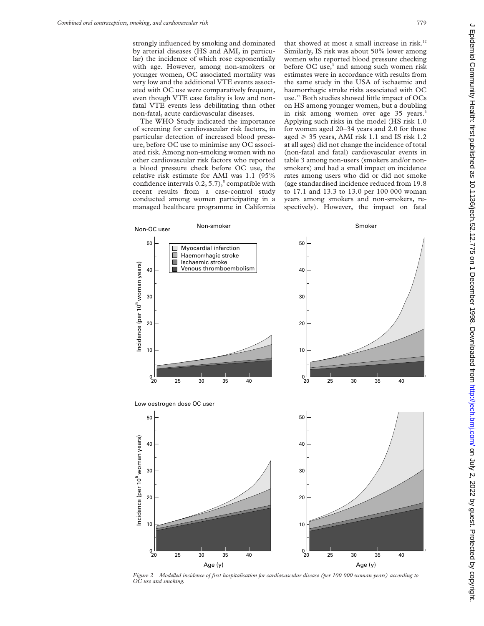strongly influenced by smoking and dominated by arterial diseases (HS and AMI, in particular) the incidence of which rose exponentially with age. However, among non-smokers or younger women, OC associated mortality was very low and the additional VTE events associated with OC use were comparatively frequent, even though VTE case fatality is low and nonfatal VTE events less debilitating than other non-fatal, acute cardiovascular diseases.

The WHO Study indicated the importance of screening for cardiovascular risk factors, in particular detection of increased blood pressure, before OC use to minimise any OC associated risk. Among non-smoking women with no other cardiovascular risk factors who reported a blood pressure check before OC use, the relative risk estimate for AMI was 1.1 (95% confidence intervals  $0.2$ ,  $5.7$ ),<sup>5</sup> compatible with recent results from a case-control study conducted among women participating in a managed healthcare programme in California that showed at most a small increase in risk.<sup>12</sup> Similarly, IS risk was about 50% lower among women who reported blood pressure checking before  $OC$  use, $3$  and among such women risk estimates were in accordance with results from the same study in the USA of ischaemic and haemorrhagic stroke risks associated with OC use.13 Both studies showed little impact of OCs on HS among younger women, but a doubling in risk among women over age 35 years.<sup>4</sup> Applying such risks in the model (HS risk 1.0 for women aged 20–34 years and 2.0 for those aged  $\geq$  35 years, AMI risk 1.1 and IS risk 1.2 at all ages) did not change the incidence of total (non-fatal and fatal) cardiovascular events in table 3 among non-users (smokers and/or nonsmokers) and had a small impact on incidence rates among users who did or did not smoke (age standardised incidence reduced from 19.8 to 17.1 and 13.3 to 13.0 per 100 000 woman years among smokers and non-smokers, respectively). However, the impact on fatal



*Figure 2 Modelled incidence of first hospitalisation for cardiovascular disease (per 100 000 woman years) according to OC use and smoking.*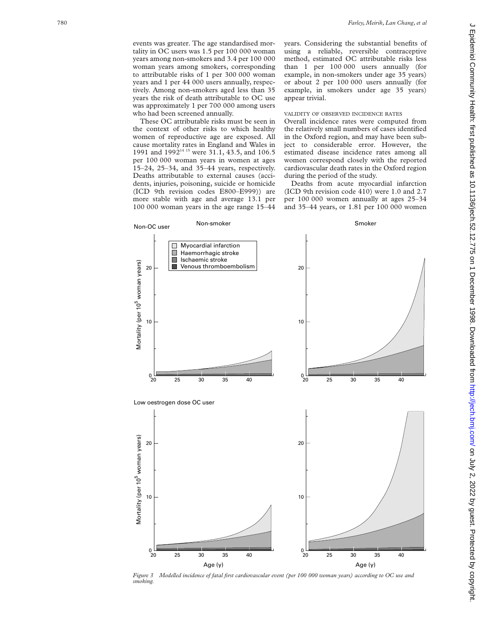events was greater. The age standardised mortality in OC users was 1.5 per 100 000 woman years among non-smokers and 3.4 per 100 000 woman years among smokers, corresponding to attributable risks of 1 per 300 000 woman years and 1 per 44 000 users annually, respectively. Among non-smokers aged less than 35 years the risk of death attributable to OC use was approximately 1 per 700 000 among users who had been screened annually.

These OC attributable risks must be seen in the context of other risks to which healthy women of reproductive age are exposed. All cause mortality rates in England and Wales in 1991 and 1992<sup>14 15</sup> were 31.1, 43.5, and 106.5 per 100 000 woman years in women at ages 15–24, 25–34, and 35–44 years, respectively. Deaths attributable to external causes (accidents, injuries, poisoning, suicide or homicide (ICD 9th revision codes E800–E999)) are more stable with age and average 13.1 per 100 000 woman years in the age range 15–44

years. Considering the substantial benefits of using a reliable, reversible contraceptive method, estimated OC attributable risks less than 1 per 100 000 users annually (for example, in non-smokers under age 35 years) or about 2 per 100 000 users annually (for example, in smokers under age 35 years) appear trivial.

#### VALIDITY OF OBSERVED INCIDENCE RATES

Overall incidence rates were computed from the relatively small numbers of cases identified in the Oxford region, and may have been subject to considerable error. However, the estimated disease incidence rates among all women correspond closely with the reported cardiovascular death rates in the Oxford region during the period of the study.

Deaths from acute myocardial infarction (ICD 9th revision code 410) were 1.0 and 2.7 per 100 000 women annually at ages 25–34 and 35–44 years, or 1.81 per 100 000 women



*Figure 3 Modelled incidence of fatal first cardiovascular event (per 100 000 woman years) according to OC use and smoking.*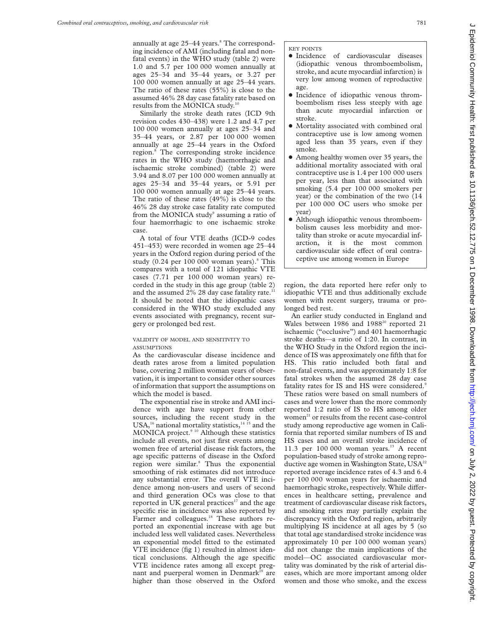annually at age 25-44 years.<sup>8</sup> The corresponding incidence of AMI (including fatal and nonfatal events) in the WHO study (table 2) were 1.0 and 5.7 per 100 000 women annually at ages 25–34 and 35–44 years, or 3.27 per 100 000 women annually at age 25–44 years. The ratio of these rates (55%) is close to the assumed 46% 28 day case fatality rate based on results from the MONICA study.10

Similarly the stroke death rates (ICD 9th revision codes 430–438) were 1.2 and 4.7 per 100 000 women annually at ages 25–34 and 35–44 years, or 2.87 per 100 000 women annually at age 25–44 years in the Oxford region.8 The corresponding stroke incidence rates in the WHO study (haemorrhagic and ischaemic stroke combined) (table 2) were 3.94 and 8.07 per 100 000 women annually at ages 25–34 and 35–44 years, or 5.91 per 100 000 women annually at age 25–44 years. The ratio of these rates (49%) is close to the 46% 28 day stroke case fatality rate computed from the MONICA study<sup>9</sup> assuming a ratio of four haemorrhagic to one ischaemic stroke case.

A total of four VTE deaths (ICD-9 codes 451–453) were recorded in women age 25–44 years in the Oxford region during period of the study  $(0.24$  per 100 000 woman years). $8$  This compares with a total of 121 idiopathic VTE cases (7.71 per 100 000 woman years) recorded in the study in this age group (table 2) and the assumed  $2\%$  28 day case fatality rate.<sup>1</sup> It should be noted that the idiopathic cases considered in the WHO study excluded any events associated with pregnancy, recent surgery or prolonged bed rest.

## VALIDITY OF MODEL AND SENSITIVITY TO ASSUMPTIONS

As the cardiovascular disease incidence and death rates arose from a limited population base, covering 2 million woman years of observation, it is important to consider other sources of information that support the assumptions on which the model is based.

The exponential rise in stroke and AMI incidence with age have support from other sources, including the recent study in the USA,<sup>16</sup> national mortality statistics, $14$ <sup>15</sup> and the MONICA project.<sup>9 10</sup> Although these statistics include all events, not just first events among women free of arterial disease risk factors, the age specific patterns of disease in the Oxford region were similar.<sup>8</sup> Thus the exponential smoothing of risk estimates did not introduce any substantial error. The overall VTE incidence among non-users and users of second and third generation OCs was close to that reported in UK general practices $17$  and the age specific rise in incidence was also reported by Farmer and colleagues.<sup>18</sup> These authors reported an exponential increase with age but included less well validated cases. Nevertheless an exponential model fitted to the estimated VTE incidence (fig 1) resulted in almost identical conclusions. Although the age specific VTE incidence rates among all except pregnant and puerperal women in Denmark<sup>19</sup> are higher than those observed in the Oxford

- **·** Incidence of cardiovascular diseases (idiopathic venous thromboembolism, stroke, and acute myocardial infarction) is very low among women of reproductive age.
- $\bullet$  Incidence of idiopathic venous thromboembolism rises less steeply with age than acute myocardial infarction or stroke.
- Mortality associated with combined oral contraceptive use is low among women aged less than 35 years, even if they smoke.
- Among healthy women over 35 years, the additional mortality associated with oral contraceptive use is 1.4 per 100 000 users per year, less than that associated with smoking (5.4 per 100 000 smokers per year) or the combination of the two (14 per 100 000 OC users who smoke per year)
- Although idiopathic venous thromboembolism causes less morbidity and mortality than stroke or acute myocardial infarction, it is the most common cardiovascular side effect of oral contraceptive use among women in Europe

region, the data reported here refer only to idiopathic VTE and thus additionally exclude women with recent surgery, trauma or prolonged bed rest.

An earlier study conducted in England and Wales between 1986 and 1988<sup>20</sup> reported 21 ischaemic ("occlusive") and 401 haemorrhagic stroke deaths—a ratio of 1:20. In contrast, in the WHO Study in the Oxford region the incidence of IS was approximately one fifth that for HS. This ratio included both fatal and non-fatal events, and was approximately 1:8 for fatal strokes when the assumed 28 day case fatality rates for IS and HS were considered.<sup>9</sup> These ratios were based on small numbers of cases and were lower than the more commonly reported 1:2 ratio of IS to HS among older women<sup>21</sup> or results from the recent case-control study among reproductive age women in California that reported similar numbers of IS and HS cases and an overall stroke incidence of 11.3 per  $100000$  woman years.<sup>13</sup> A recent population-based study of stroke among reproductive age women in Washington State, USA<sup>22</sup> reported average incidence rates of 4.3 and 6.4 per 100 000 woman years for ischaemic and haemorrhagic stroke, respectively. While differences in healthcare setting, prevalence and treatment of cardiovascular disease risk factors, and smoking rates may partially explain the discrepancy with the Oxford region, arbitrarily multiplying IS incidence at all ages by 5 (so that total age standardised stroke incidence was approximately 10 per 100 000 woman years) did not change the main implications of the model—OC associated cardiovascular mortality was dominated by the risk of arterial diseases, which are more important among older women and those who smoke, and the excess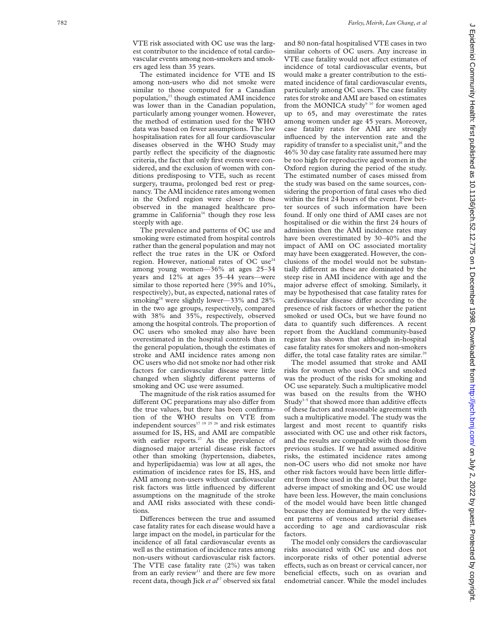VTE risk associated with OC use was the largest contributor to the incidence of total cardiovascular events among non-smokers and smokers aged less than 35 years.

The estimated incidence for VTE and IS among non-users who did not smoke were similar to those computed for a Canadian population,<sup>23</sup> though estimated AMI incidence was lower than in the Canadian population, particularly among younger women. However, the method of estimation used for the WHO data was based on fewer assumptions. The low hospitalisation rates for all four cardiovascular diseases observed in the WHO Study may partly reflect the specificity of the diagnostic criteria, the fact that only first events were considered, and the exclusion of women with conditions predisposing to VTE, such as recent surgery, trauma, prolonged bed rest or pregnancy. The AMI incidence rates among women in the Oxford region were closer to those observed in the managed healthcare programme in California<sup>16</sup> though they rose less steeply with age.

The prevalence and patterns of OC use and smoking were estimated from hospital controls rather than the general population and may not reflect the true rates in the UK or Oxford region. However, national rates of OC use<sup>24</sup> among young women—36% at ages 25–34 years and 12% at ages 35–44 years—were similar to those reported here (39% and 10%, respectively), but, as expected, national rates of smoking<sup>24</sup> were slightly lower—33% and  $28\%$ in the two age groups, respectively, compared with 38% and 35%, respectively, observed among the hospital controls. The proportion of OC users who smoked may also have been overestimated in the hospital controls than in the general population, though the estimates of stroke and AMI incidence rates among non OC users who did not smoke nor had other risk factors for cardiovascular disease were little changed when slightly different patterns of smoking and OC use were assumed.

The magnitude of the risk ratios assumed for different OC preparations may also differ from the true values, but there has been confirmation of the WHO results on VTE from independent sources $17 18 25 26$  and risk estimates assumed for IS, HS, and AMI are compatible with earlier reports.<sup>27</sup> As the prevalence of diagnosed major arterial disease risk factors other than smoking (hypertension, diabetes, and hyperlipidaemia) was low at all ages, the estimation of incidence rates for IS, HS, and AMI among non-users without cardiovascular risk factors was little influenced by different assumptions on the magnitude of the stroke and AMI risks associated with these conditions.

Differences between the true and assumed case fatality rates for each disease would have a large impact on the model, in particular for the incidence of all fatal cardiovascular events as well as the estimation of incidence rates among non-users without cardiovascular risk factors. The VTE case fatality rate (2%) was taken from an early review<sup>11</sup> and there are few more recent data, though Jick et al<sup>17</sup> observed six fatal

and 80 non-fatal hospitalised VTE cases in two similar cohorts of OC users. Any increase in VTE case fatality would not affect estimates of incidence of total cardiovascular events, but would make a greater contribution to the estimated incidence of fatal cardiovascular events, particularly among OC users. The case fatality rates for stroke and AMI are based on estimates from the MONICA study<sup>9 10</sup> for women aged up to 65, and may overestimate the rates among women under age 45 years. Moreover, case fatality rates for AMI are strongly influenced by the intervention rate and the rapidity of transfer to a specialist unit,<sup>28</sup> and the 46% 30 day case fatality rate assumed here may be too high for reproductive aged women in the Oxford region during the period of the study. The estimated number of cases missed from the study was based on the same sources, considering the proportion of fatal cases who died within the first 24 hours of the event. Few better sources of such information have been found. If only one third of AMI cases are not hospitalised or die within the first 24 hours of admission then the AMI incidence rates may have been overestimated by 30–40% and the impact of AMI on OC associated mortality may have been exaggerated. However, the conclusions of the model would not be substantially different as these are dominated by the steep rise in AMI incidence with age and the major adverse effect of smoking. Similarly, it may be hypothesised that case fatality rates for cardiovascular disease differ according to the presence of risk factors or whether the patient smoked or used OCs, but we have found no data to quantify such differences. A recent report from the Auckland community-based register has shown that although in-hospital case fatality rates for smokers and non-smokers differ, the total case fatality rates are similar.<sup>29</sup>

The model assumed that stroke and AMI risks for women who used OCs and smoked was the product of the risks for smoking and OC use separately. Such a multiplicative model was based on the results from the WHO Study $3-5$  that showed more than additive effects of these factors and reasonable agreement with such a multiplicative model. The study was the largest and most recent to quantify risks associated with OC use and other risk factors, and the results are compatible with those from previous studies. If we had assumed additive risks, the estimated incidence rates among non-OC users who did not smoke nor have other risk factors would have been little different from those used in the model, but the large adverse impact of smoking and OC use would have been less. However, the main conclusions of the model would have been little changed because they are dominated by the very different patterns of venous and arterial diseases according to age and cardiovascular risk factors.

The model only considers the cardiovascular risks associated with OC use and does not incorporate risks of other potential adverse effects, such as on breast or cervical cancer, nor beneficial effects, such on as ovarian and endometrial cancer. While the model includes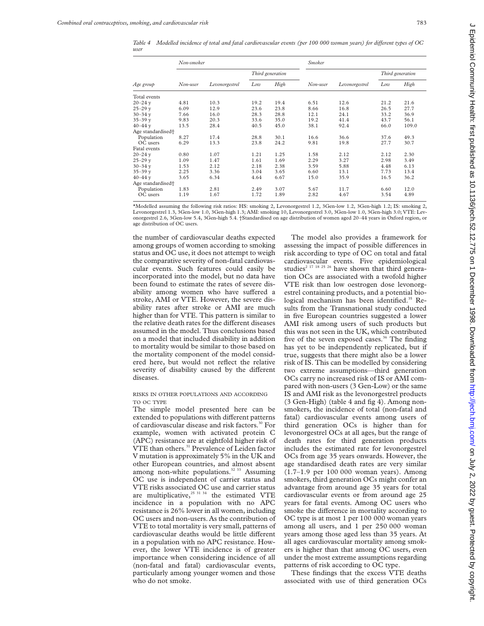*Table 4 Modelled incidence of total and fatal cardiovascular events (per 100 000 woman years) for diVerent types of OC user*

| Age group                     | Non-smoker |                |                  |      | <b>Smoker</b> |                |                  |       |
|-------------------------------|------------|----------------|------------------|------|---------------|----------------|------------------|-------|
|                               |            | Levonorgestrel | Third generation |      |               |                | Third generation |       |
|                               | Non-user   |                | Low              | High | Non-user      | Levonorgestrel | Low              | High  |
| Total events                  |            |                |                  |      |               |                |                  |       |
| $20 - 24$ v                   | 4.81       | 10.3           | 19.2             | 19.4 | 6.51          | 12.6           | 21.2             | 21.6  |
| $25 - 29$ v                   | 6.09       | 12.9           | 23.6             | 23.8 | 8.66          | 16.8           | 26.5             | 27.7  |
| $30 - 34$ v                   | 7.66       | 16.0           | 28.3             | 28.8 | 12.1          | 24.1           | 33.2             | 36.9  |
| $35 - 39$ v                   | 9.83       | 20.3           | 33.6             | 35.0 | 19.2          | 41.4           | 43.7             | 56.1  |
| $40 - 44$ v                   | 13.5       | 28.4           | 40.5             | 45.0 | 38.1          | 92.4           | 66.0             | 109.0 |
| Age standardised <sup>+</sup> |            |                |                  |      |               |                |                  |       |
| Population                    | 8.27       | 17.4           | 28.8             | 30.1 | 16.6          | 36.6           | 37.6             | 49.3  |
| OC users                      | 6.29       | 13.3           | 23.8             | 24.2 | 9.81          | 19.8           | 27.7             | 30.7  |
| Fatal events                  |            |                |                  |      |               |                |                  |       |
| $20 - 24$ v                   | 0.80       | 1.07           | 1.21             | 1.25 | 1.58          | 2.12           | 2.12             | 2.30  |
| $25 - 29$ v                   | 1.09       | 1.47           | 1.61             | 1.69 | 2.29          | 3.27           | 2.98             | 3.49  |
| $30 - 34$ v                   | 1.53       | 2.12           | 2.18             | 2.38 | 3.59          | 5.88           | 4.48             | 6.13  |
| $35 - 39$ v                   | 2.25       | 3.36           | 3.04             | 3.65 | 6.60          | 13.1           | 7.73             | 13.4  |
| $40 - 44$ v                   | 3.65       | 6.34           | 4.64             | 6.67 | 15.0          | 35.9           | 16.5             | 36.2  |
| Age standardised <sup>+</sup> |            |                |                  |      |               |                |                  |       |
| Population                    | 1.83       | 2.81           | 2.49             | 3.07 | 5.67          | 11.7           | 6.60             | 12.0  |
| OC users                      | 1.19       | 1.67           | 1.72             | 1.89 | 2.82          | 4.67           | 3.54             | 4.89  |

\*Modelled assuming the following risk ratios: HS: smoking 2, Levonorgestrel 1.2, 3Gen-low 1.2, 3Gen-high 1.2; IS: smoking 2, Levonorgestrel 1.3, 3Gen-low 1.0, 3Gen-high 1.3; AMI: smoking 10, Levonorgestrel 3.0, 3Gen-low 1.0, 3Gen-high 3.0; VTE: Levonorgestrel 2.6, 3Gen-low 5.4, 3Gen-high 5.4. †Standardised on age distribution of women aged 20–44 years in Oxford region, or age distribution of OC users.

the number of cardiovascular deaths expected among groups of women according to smoking status and OC use, it does not attempt to weigh the comparative severity of non-fatal cardiovascular events. Such features could easily be incorporated into the model, but no data have been found to estimate the rates of severe disability among women who have suffered a stroke, AMI or VTE. However, the severe disability rates after stroke or AMI are much higher than for VTE. This pattern is similar to the relative death rates for the different diseases assumed in the model. Thus conclusions based on a model that included disability in addition to mortality would be similar to those based on the mortality component of the model considered here, but would not reflect the relative severity of disability caused by the different diseases.

RISKS IN OTHER POPULATIONS AND ACCORDING TO OC TYPE

The simple model presented here can be extended to populations with different patterns of cardiovascular disease and risk factors.<sup>30</sup> For example, women with activated protein C (APC) resistance are at eightfold higher risk of VTE than others.<sup>31</sup> Prevalence of Leiden factor V mutation is approximately 5% in the UK and other European countries, and almost absent among non-white populations.<sup>32 33</sup> Assuming OC use is independent of carrier status and VTE risks associated OC use and carrier status are multiplicative, $25 \frac{31}{34}$  the estimated VTE incidence in a population with no APC resistance is 26% lower in all women, including OC users and non-users. As the contribution of VTE to total mortality is very small, patterns of cardiovascular deaths would be little different in a population with no APC resistance. However, the lower VTE incidence is of greater importance when considering incidence of all (non-fatal and fatal) cardiovascular events, particularly among younger women and those who do not smoke.

The model also provides a framework for assessing the impact of possible differences in risk according to type of OC on total and fatal cardiovascular events. Five epidemiological studies<sup>2 17 18 25 26</sup> have shown that third generation OCs are associated with a twofold higher VTE risk than low oestrogen dose levonorgestrel containing products, and a potential biological mechanism has been identified.<sup>35</sup> Results from the Transnational study conducted in five European countries suggested a lower AMI risk among users of such products but this was not seen in the UK, which contributed five of the seven exposed cases.<sup>36</sup> The finding has yet to be independently replicated, but if true, suggests that there might also be a lower risk of IS. This can be modelled by considering two extreme assumptions—third generation OCs carry no increased risk of IS or AMI compared with non-users (3 Gen-Low) or the same IS and AMI risk as the levonorgestrel products (3 Gen-High) (table 4 and fig 4). Among nonsmokers, the incidence of total (non-fatal and fatal) cardiovascular events among users of third generation OCs is higher than for levonorgestrel OCs at all ages, but the range of death rates for third generation products includes the estimated rate for levonorgestrel OCs from age 35 years onwards. However, the age standardised death rates are very similar (1.7–1.9 per 100 000 woman years). Among smokers, third generation OCs might confer an advantage from around age 35 years for total cardiovascular events or from around age 25 years for fatal events. Among OC users who smoke the difference in mortality according to OC type is at most 1 per 100 000 woman years among all users, and 1 per 250 000 woman years among those aged less than 35 years. At all ages cardiovascular mortality among smokers is higher than that among OC users, even under the most extreme assumptions regarding patterns of risk according to OC type.

These findings that the excess VTE deaths associated with use of third generation OCs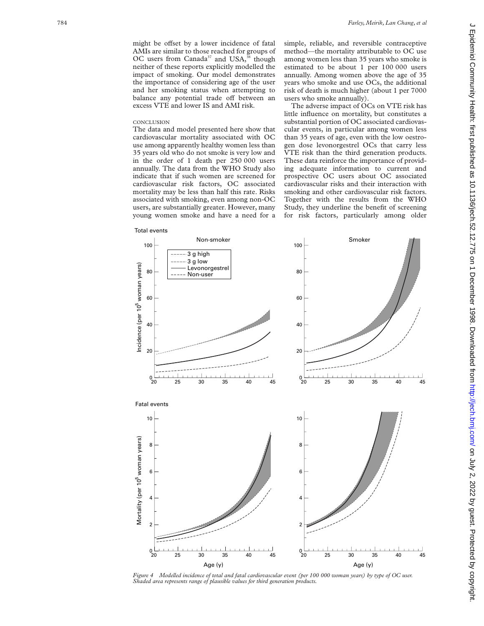balance any potential trade off between an excess VTE and lower IS and AMI risk.

#### **CONCLUSION**

The data and model presented here show that cardiovascular mortality associated with OC use among apparently healthy women less than 35 years old who do not smoke is very low and in the order of 1 death per 250 000 users annually. The data from the WHO Study also indicate that if such women are screened for cardiovascular risk factors, OC associated mortality may be less than half this rate. Risks associated with smoking, even among non-OC users, are substantially greater. However, many young women smoke and have a need for a simple, reliable, and reversible contraceptive method—the mortality attributable to OC use among women less than 35 years who smoke is estimated to be about 1 per 100 000 users annually. Among women above the age of 35 years who smoke and use OCs, the additional risk of death is much higher (about 1 per 7000 users who smoke annually).

The adverse impact of OCs on VTE risk has little influence on mortality, but constitutes a substantial portion of OC associated cardiovascular events, in particular among women less than 35 years of age, even with the low oestrogen dose levonorgestrel OCs that carry less VTE risk than the third generation products. These data reinforce the importance of providing adequate information to current and prospective OC users about OC associated cardiovascular risks and their interaction with smoking and other cardiovascular risk factors. Together with the results from the WHO Study, they underline the benefit of screening for risk factors, particularly among older



*Figure 4 Modelled incidence of total and fatal cardiovascular event (per 100 000 woman years) by type of OC user. Shaded area represents range of plausible values for third generation products.*